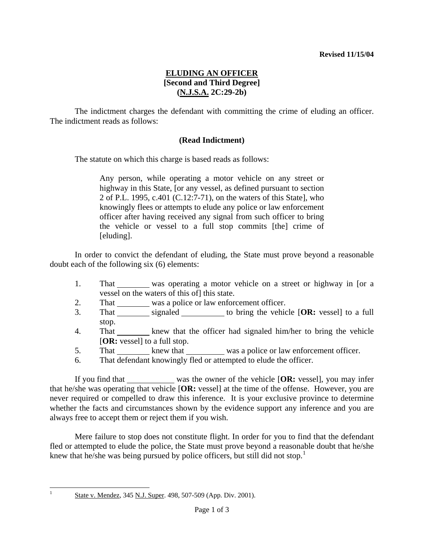## **ELUDING AN OFFICER [Second and Third Degree] (N.J.S.A. 2C:29-2b)**

 The indictment charges the defendant with committing the crime of eluding an officer. The indictment reads as follows:

### **(Read Indictment)**

The statute on which this charge is based reads as follows:

Any person, while operating a motor vehicle on any street or highway in this State, [or any vessel, as defined pursuant to section 2 of P.L. 1995, c.401 (C.12:7-71), on the waters of this State], who knowingly flees or attempts to elude any police or law enforcement officer after having received any signal from such officer to bring the vehicle or vessel to a full stop commits [the] crime of [eluding].

 In order to convict the defendant of eluding, the State must prove beyond a reasonable doubt each of the following six (6) elements:

- 1. That was operating a motor vehicle on a street or highway in [or a vessel on the waters of this of] this state.
- 2. That was a police or law enforcement officer.
- 3. That signaled to bring the vehicle [OR: vessel] to a full stop.
- 4. That knew that the officer had signaled him/her to bring the vehicle [**OR:** vessel] to a full stop.
- 5. That knew that was a police or law enforcement officer.
- 6. That defendant knowingly fled or attempted to elude the officer.

 If you find that was the owner of the vehicle [**OR:** vessel], you may infer that he/she was operating that vehicle [**OR:** vessel] at the time of the offense. However, you are never required or compelled to draw this inference. It is your exclusive province to determine whether the facts and circumstances shown by the evidence support any inference and you are always free to accept them or reject them if you wish.

<span id="page-0-1"></span> Mere failure to stop does not constitute flight. In order for you to find that the defendant fled or attempted to elude the police, the State must prove beyond a reasonable doubt that he/she knew that he/she was being pursued by police officers, but still did not stop.<sup>[1](#page-0-0)</sup>

<span id="page-0-0"></span>|<br>1

State v. Mendez, 345 N.J. Super. 498, 507-509 (App. Div. 2001).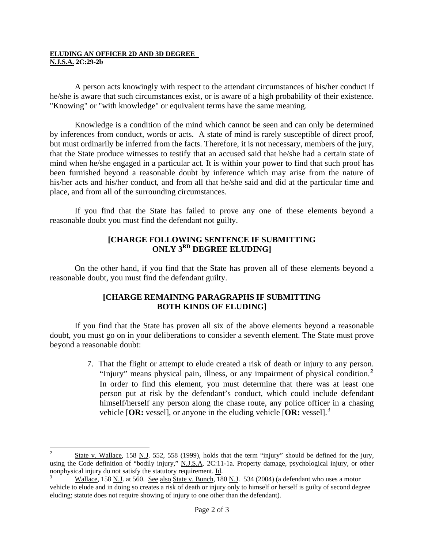#### **ELUDING AN OFFICER 2D AND 3D DEGREE N.J.S.A. 2C:29-2b**

 A person acts knowingly with respect to the attendant circumstances of his/her conduct if he/she is aware that such circumstances exist, or is aware of a high probability of their existence. "Knowing" or "with knowledge" or equivalent terms have the same meaning.

 Knowledge is a condition of the mind which cannot be seen and can only be determined by inferences from conduct, words or acts. A state of mind is rarely susceptible of direct proof, but must ordinarily be inferred from the facts. Therefore, it is not necessary, members of the jury, that the State produce witnesses to testify that an accused said that he/she had a certain state of mind when he/she engaged in a particular act. It is within your power to find that such proof has been furnished beyond a reasonable doubt by inference which may arise from the nature of his/her acts and his/her conduct, and from all that he/she said and did at the particular time and place, and from all of the surrounding circumstances.

 If you find that the State has failed to prove any one of these elements beyond a reasonable doubt you must find the defendant not guilty.

### **[CHARGE FOLLOWING SENTENCE IF SUBMITTING ONLY 3RD DEGREE ELUDING]**

 On the other hand, if you find that the State has proven all of these elements beyond a reasonable doubt, you must find the defendant guilty.

### **[CHARGE REMAINING PARAGRAPHS IF SUBMITTING BOTH KINDS OF ELUDING]**

 If you find that the State has proven all six of the above elements beyond a reasonable doubt, you must go on in your deliberations to consider a seventh element. The State must prove beyond a reasonable doubt:

> 7. That the flight or attempt to elude created a risk of death or injury to any person. "Injury" means physical pain, illness, or any impairment of physical condition.<sup>[2](#page-0-1)</sup> In order to find this element, you must determine that there was at least one person put at risk by the defendant's conduct, which could include defendant himself/herself any person along the chase route, any police officer in a chasing vehicle [**OR:** vessel], or anyone in the eluding vehicle [**OR:** vessel].[3](#page-1-0)

<span id="page-1-1"></span> $\frac{1}{2}$  State v. Wallace, 158 N.J. 552, 558 (1999), holds that the term "injury" should be defined for the jury, using the Code definition of "bodily injury," N.J.S.A. 2C:11-1a. Property damage, psychological injury, or other nonphysical injury do not satisfy the statutory requirement. Id.

<span id="page-1-0"></span>Wallace, 158 N.J. at 560. See also State v. Bunch, 180 N.J. 534 (2004) (a defendant who uses a motor vehicle to elude and in doing so creates a risk of death or injury only to himself or herself is guilty of second degree eluding; statute does not require showing of injury to one other than the defendant).